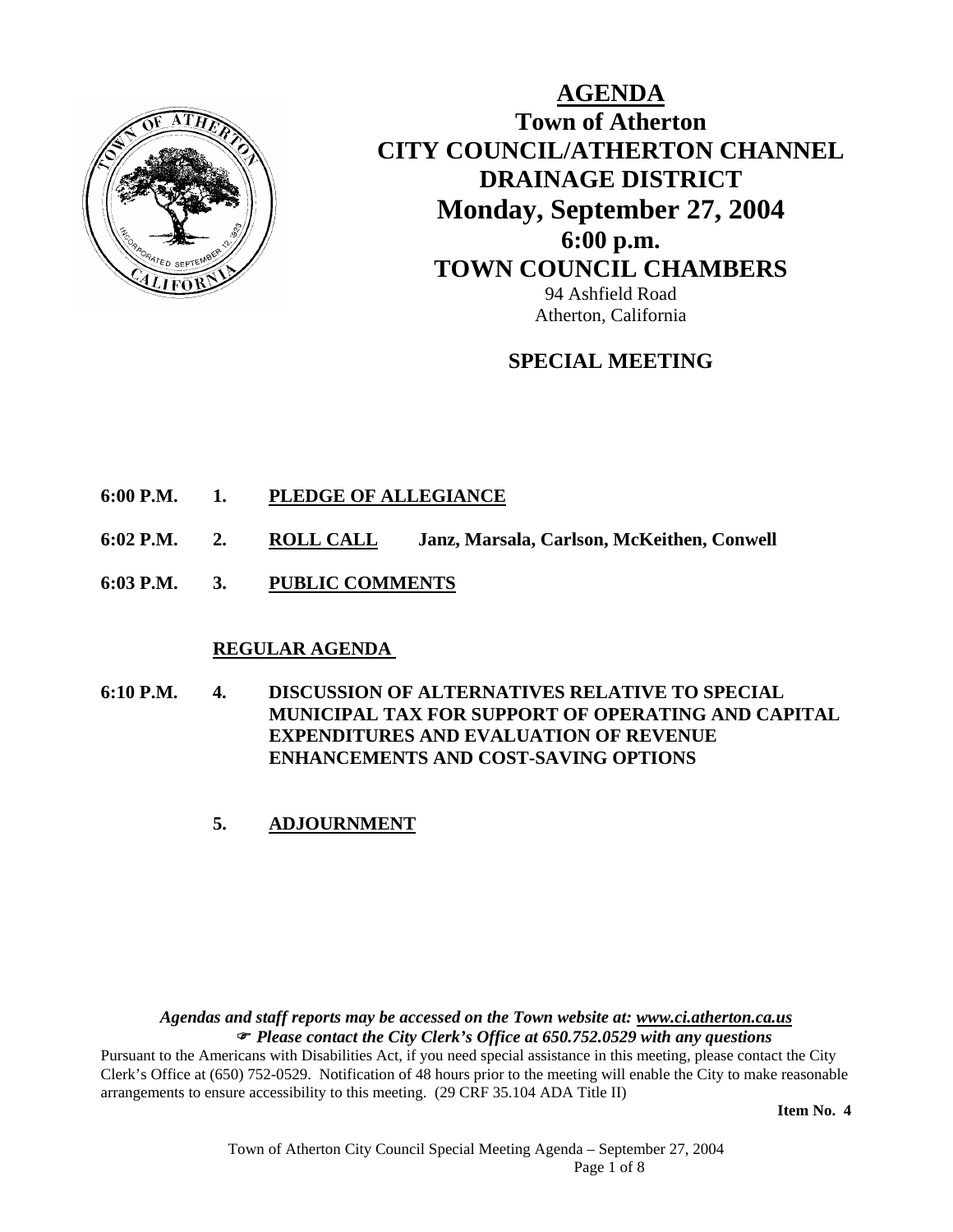

**AGENDA Town of Atherton CITY COUNCIL/ATHERTON CHANNEL DRAINAGE DISTRICT Monday, September 27, 2004 6:00 p.m. TOWN COUNCIL CHAMBERS** 94 Ashfield Road Atherton, California

# **SPECIAL MEETING**

- **6:00 P.M. 1. PLEDGE OF ALLEGIANCE**
- **6:02 P.M. 2. ROLL CALL Janz, Marsala, Carlson, McKeithen, Conwell**
- **6:03 P.M. 3. PUBLIC COMMENTS**

#### **REGULAR AGENDA**

- **6:10 P.M. 4. DISCUSSION OF ALTERNATIVES RELATIVE TO SPECIAL MUNICIPAL TAX FOR SUPPORT OF OPERATING AND CAPITAL EXPENDITURES AND EVALUATION OF REVENUE ENHANCEMENTS AND COST-SAVING OPTIONS** 
	- **5. ADJOURNMENT**

*Agendas and staff reports may be accessed on the Town website at: www.ci.atherton.ca.us* ) *Please contact the City Clerk's Office at 650.752.0529 with any questions* 

Pursuant to the Americans with Disabilities Act, if you need special assistance in this meeting, please contact the City Clerk's Office at (650) 752-0529. Notification of 48 hours prior to the meeting will enable the City to make reasonable arrangements to ensure accessibility to this meeting. (29 CRF 35.104 ADA Title II)

**Item No. 4**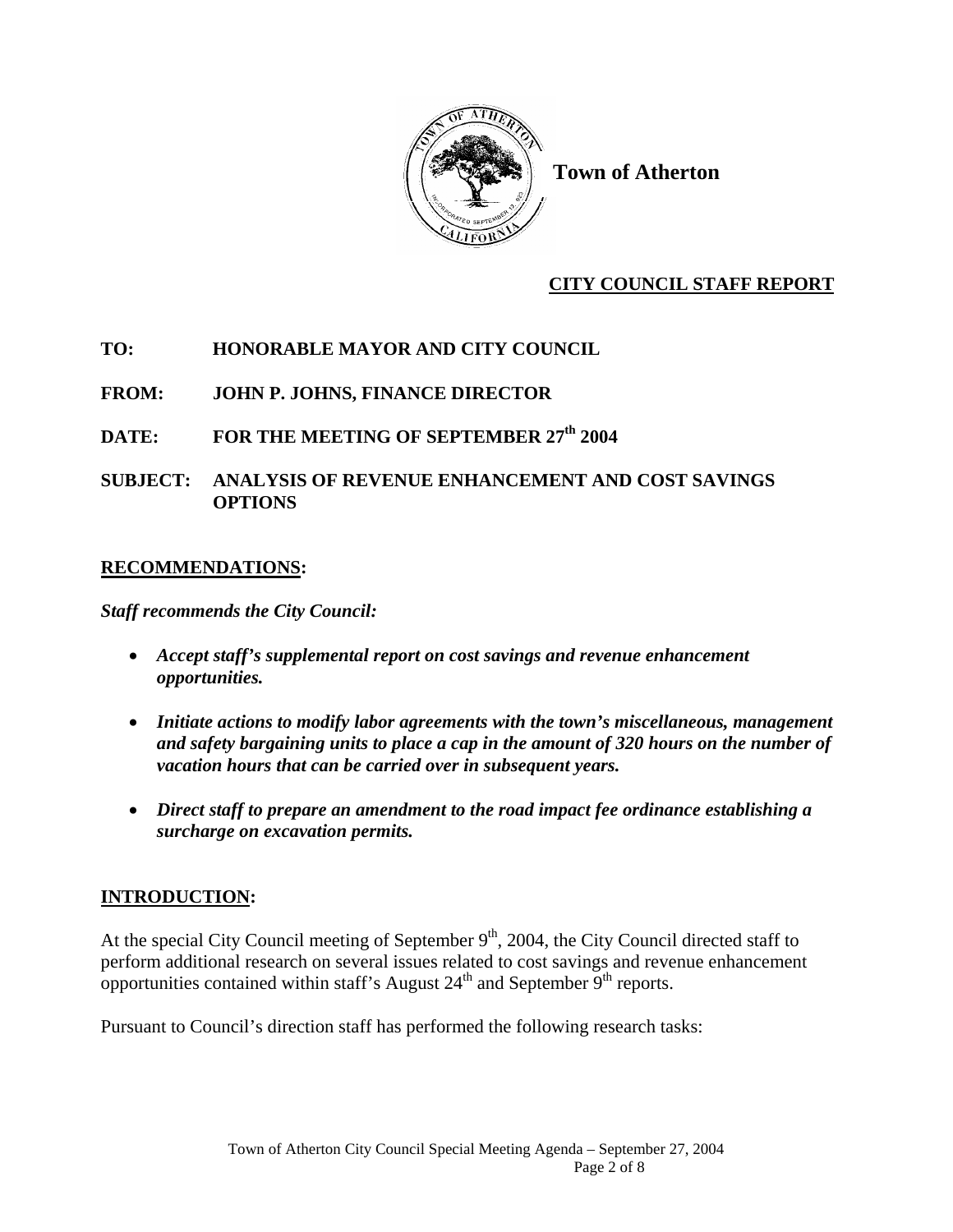

**Town of Atherton** 

# **CITY COUNCIL STAFF REPORT**

# **TO: HONORABLE MAYOR AND CITY COUNCIL**

# **FROM: JOHN P. JOHNS, FINANCE DIRECTOR**

## DATE: FOR THE MEETING OF SEPTEMBER 27<sup>th</sup> 2004

## **SUBJECT: ANALYSIS OF REVENUE ENHANCEMENT AND COST SAVINGS OPTIONS**

### **RECOMMENDATIONS:**

*Staff recommends the City Council:* 

- *Accept staff's supplemental report on cost savings and revenue enhancement opportunities.*
- *Initiate actions to modify labor agreements with the town's miscellaneous, management and safety bargaining units to place a cap in the amount of 320 hours on the number of vacation hours that can be carried over in subsequent years.*
- *Direct staff to prepare an amendment to the road impact fee ordinance establishing a surcharge on excavation permits.*

# **INTRODUCTION:**

At the special City Council meeting of September  $9<sup>th</sup>$ , 2004, the City Council directed staff to perform additional research on several issues related to cost savings and revenue enhancement opportunities contained within staff's August  $24<sup>th</sup>$  and September  $9<sup>th</sup>$  reports.

Pursuant to Council's direction staff has performed the following research tasks: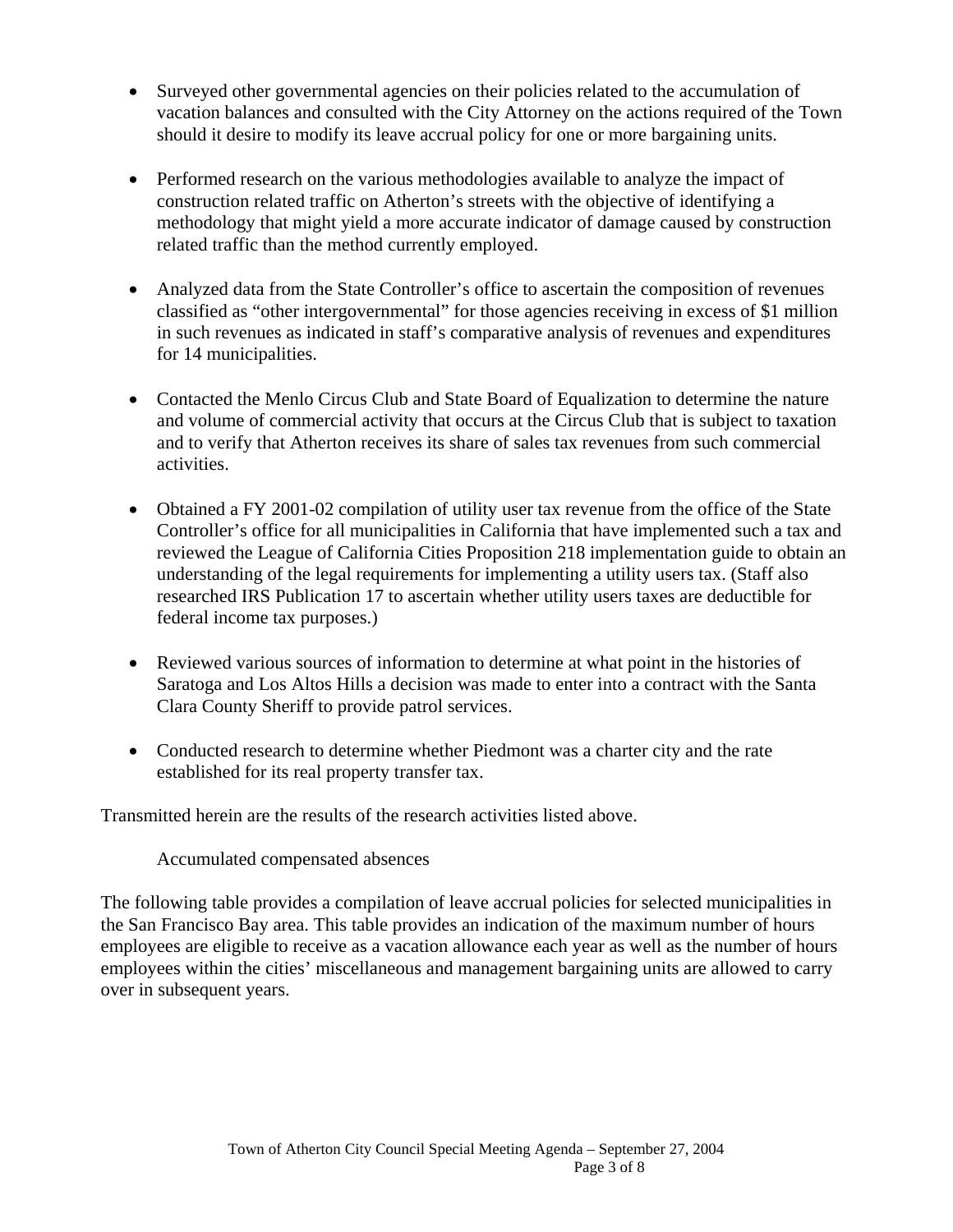- Surveyed other governmental agencies on their policies related to the accumulation of vacation balances and consulted with the City Attorney on the actions required of the Town should it desire to modify its leave accrual policy for one or more bargaining units.
- Performed research on the various methodologies available to analyze the impact of construction related traffic on Atherton's streets with the objective of identifying a methodology that might yield a more accurate indicator of damage caused by construction related traffic than the method currently employed.
- Analyzed data from the State Controller's office to ascertain the composition of revenues classified as "other intergovernmental" for those agencies receiving in excess of \$1 million in such revenues as indicated in staff's comparative analysis of revenues and expenditures for 14 municipalities.
- Contacted the Menlo Circus Club and State Board of Equalization to determine the nature and volume of commercial activity that occurs at the Circus Club that is subject to taxation and to verify that Atherton receives its share of sales tax revenues from such commercial activities.
- Obtained a FY 2001-02 compilation of utility user tax revenue from the office of the State Controller's office for all municipalities in California that have implemented such a tax and reviewed the League of California Cities Proposition 218 implementation guide to obtain an understanding of the legal requirements for implementing a utility users tax. (Staff also researched IRS Publication 17 to ascertain whether utility users taxes are deductible for federal income tax purposes.)
- Reviewed various sources of information to determine at what point in the histories of Saratoga and Los Altos Hills a decision was made to enter into a contract with the Santa Clara County Sheriff to provide patrol services.
- Conducted research to determine whether Piedmont was a charter city and the rate established for its real property transfer tax.

Transmitted herein are the results of the research activities listed above.

Accumulated compensated absences

The following table provides a compilation of leave accrual policies for selected municipalities in the San Francisco Bay area. This table provides an indication of the maximum number of hours employees are eligible to receive as a vacation allowance each year as well as the number of hours employees within the cities' miscellaneous and management bargaining units are allowed to carry over in subsequent years.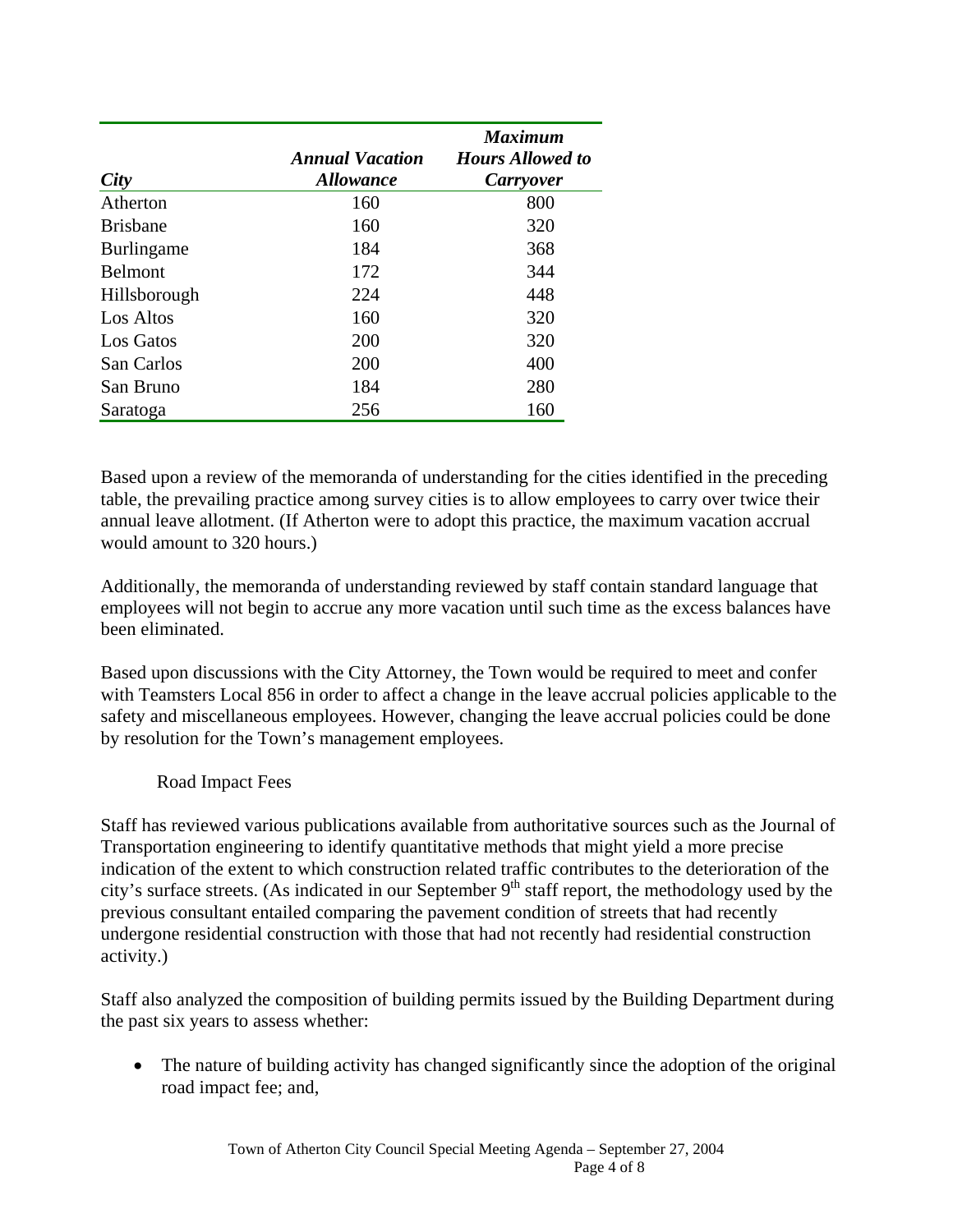| City              | <b>Annual Vacation</b><br><i><b>Allowance</b></i> | <b>Maximum</b><br><b>Hours Allowed to</b><br><b>Carryover</b> |  |  |
|-------------------|---------------------------------------------------|---------------------------------------------------------------|--|--|
| Atherton          | 160                                               | 800                                                           |  |  |
| <b>Brisbane</b>   | 160                                               | 320                                                           |  |  |
| <b>Burlingame</b> | 184                                               | 368                                                           |  |  |
| <b>Belmont</b>    | 172                                               | 344                                                           |  |  |
| Hillsborough      | 224                                               | 448                                                           |  |  |
| Los Altos         | 160                                               | 320                                                           |  |  |
| Los Gatos         | 200                                               | 320                                                           |  |  |
| San Carlos        | 200                                               | 400                                                           |  |  |
| San Bruno         | 184                                               | 280                                                           |  |  |
| Saratoga          | 256                                               | 160                                                           |  |  |

Based upon a review of the memoranda of understanding for the cities identified in the preceding table, the prevailing practice among survey cities is to allow employees to carry over twice their annual leave allotment. (If Atherton were to adopt this practice, the maximum vacation accrual would amount to 320 hours.)

Additionally, the memoranda of understanding reviewed by staff contain standard language that employees will not begin to accrue any more vacation until such time as the excess balances have been eliminated.

Based upon discussions with the City Attorney, the Town would be required to meet and confer with Teamsters Local 856 in order to affect a change in the leave accrual policies applicable to the safety and miscellaneous employees. However, changing the leave accrual policies could be done by resolution for the Town's management employees.

### Road Impact Fees

Staff has reviewed various publications available from authoritative sources such as the Journal of Transportation engineering to identify quantitative methods that might yield a more precise indication of the extent to which construction related traffic contributes to the deterioration of the city's surface streets. (As indicated in our September  $9<sup>th</sup>$  staff report, the methodology used by the previous consultant entailed comparing the pavement condition of streets that had recently undergone residential construction with those that had not recently had residential construction activity.)

Staff also analyzed the composition of building permits issued by the Building Department during the past six years to assess whether:

• The nature of building activity has changed significantly since the adoption of the original road impact fee; and,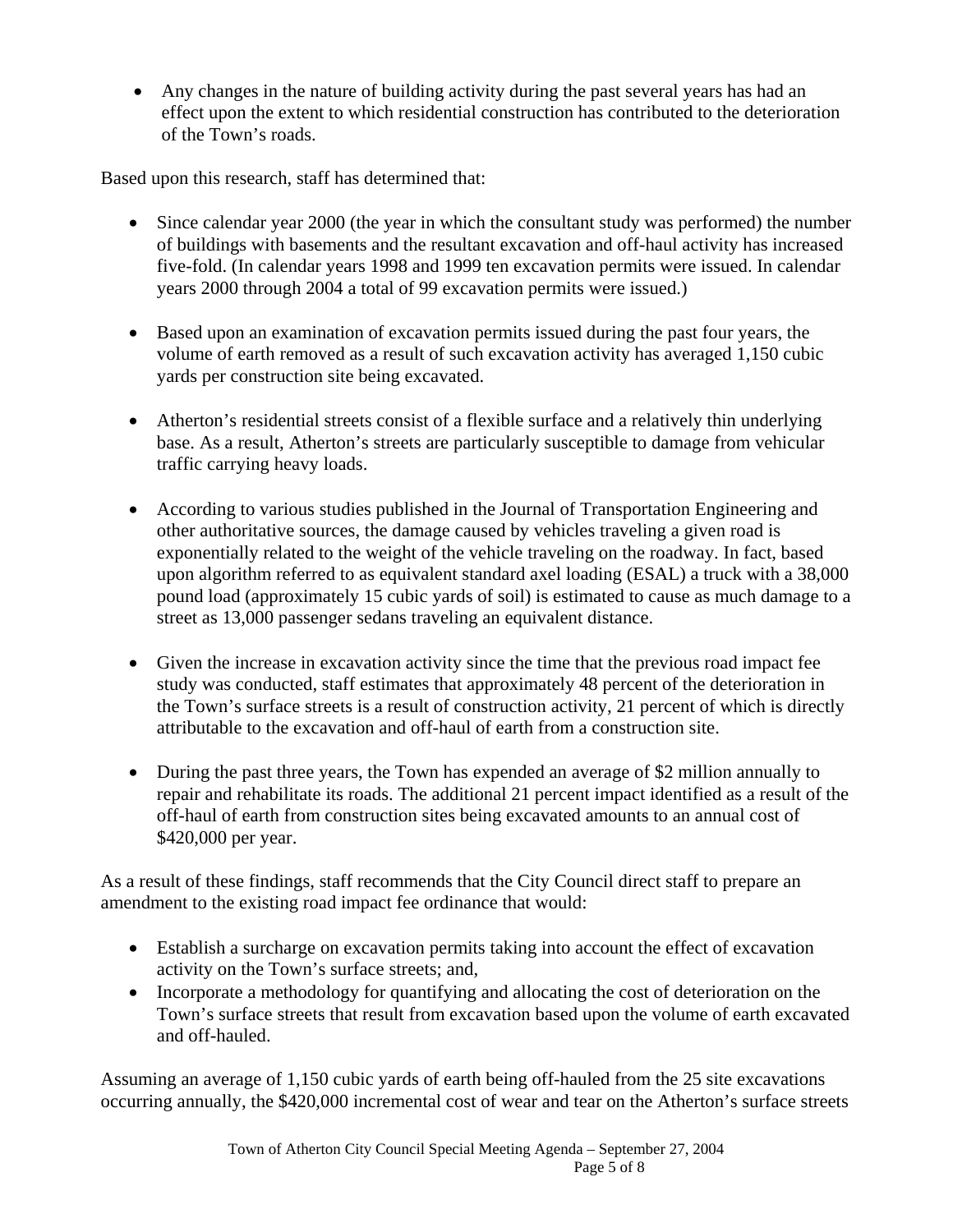• Any changes in the nature of building activity during the past several years has had an effect upon the extent to which residential construction has contributed to the deterioration of the Town's roads.

Based upon this research, staff has determined that:

- Since calendar year 2000 (the year in which the consultant study was performed) the number of buildings with basements and the resultant excavation and off-haul activity has increased five-fold. (In calendar years 1998 and 1999 ten excavation permits were issued. In calendar years 2000 through 2004 a total of 99 excavation permits were issued.)
- Based upon an examination of excavation permits issued during the past four years, the volume of earth removed as a result of such excavation activity has averaged 1,150 cubic yards per construction site being excavated.
- Atherton's residential streets consist of a flexible surface and a relatively thin underlying base. As a result, Atherton's streets are particularly susceptible to damage from vehicular traffic carrying heavy loads.
- According to various studies published in the Journal of Transportation Engineering and other authoritative sources, the damage caused by vehicles traveling a given road is exponentially related to the weight of the vehicle traveling on the roadway. In fact, based upon algorithm referred to as equivalent standard axel loading (ESAL) a truck with a 38,000 pound load (approximately 15 cubic yards of soil) is estimated to cause as much damage to a street as 13,000 passenger sedans traveling an equivalent distance.
- Given the increase in excavation activity since the time that the previous road impact fee study was conducted, staff estimates that approximately 48 percent of the deterioration in the Town's surface streets is a result of construction activity, 21 percent of which is directly attributable to the excavation and off-haul of earth from a construction site.
- During the past three years, the Town has expended an average of \$2 million annually to repair and rehabilitate its roads. The additional 21 percent impact identified as a result of the off-haul of earth from construction sites being excavated amounts to an annual cost of \$420,000 per year.

As a result of these findings, staff recommends that the City Council direct staff to prepare an amendment to the existing road impact fee ordinance that would:

- Establish a surcharge on excavation permits taking into account the effect of excavation activity on the Town's surface streets; and,
- Incorporate a methodology for quantifying and allocating the cost of deterioration on the Town's surface streets that result from excavation based upon the volume of earth excavated and off-hauled.

Assuming an average of 1,150 cubic yards of earth being off-hauled from the 25 site excavations occurring annually, the \$420,000 incremental cost of wear and tear on the Atherton's surface streets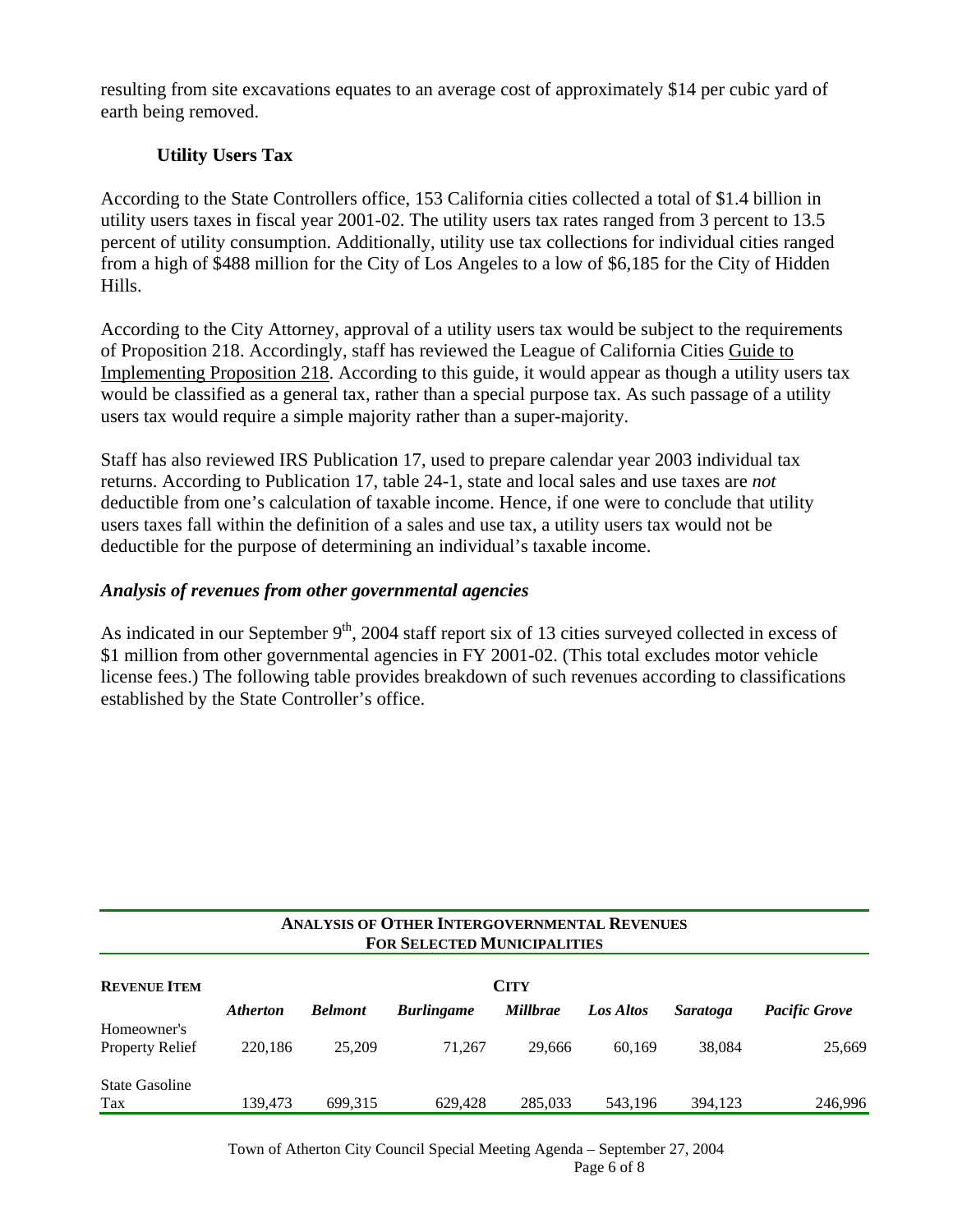resulting from site excavations equates to an average cost of approximately \$14 per cubic yard of earth being removed.

## **Utility Users Tax**

According to the State Controllers office, 153 California cities collected a total of \$1.4 billion in utility users taxes in fiscal year 2001-02. The utility users tax rates ranged from 3 percent to 13.5 percent of utility consumption. Additionally, utility use tax collections for individual cities ranged from a high of \$488 million for the City of Los Angeles to a low of \$6,185 for the City of Hidden Hills.

According to the City Attorney, approval of a utility users tax would be subject to the requirements of Proposition 218. Accordingly, staff has reviewed the League of California Cities Guide to Implementing Proposition 218. According to this guide, it would appear as though a utility users tax would be classified as a general tax, rather than a special purpose tax. As such passage of a utility users tax would require a simple majority rather than a super-majority.

Staff has also reviewed IRS Publication 17, used to prepare calendar year 2003 individual tax returns. According to Publication 17, table 24-1, state and local sales and use taxes are *not* deductible from one's calculation of taxable income. Hence, if one were to conclude that utility users taxes fall within the definition of a sales and use tax, a utility users tax would not be deductible for the purpose of determining an individual's taxable income.

#### *Analysis of revenues from other governmental agencies*

As indicated in our September 9<sup>th</sup>, 2004 staff report six of 13 cities surveyed collected in excess of \$1 million from other governmental agencies in FY 2001-02. (This total excludes motor vehicle license fees.) The following table provides breakdown of such revenues according to classifications established by the State Controller's office.

| <b>ANALYSIS OF OTHER INTERGOVERNMENTAL REVENUES</b><br><b>FOR SELECTED MUNICIPALITIES</b> |                 |                |                   |                 |           |                 |                      |  |
|-------------------------------------------------------------------------------------------|-----------------|----------------|-------------------|-----------------|-----------|-----------------|----------------------|--|
| <b>REVENUE ITEM</b>                                                                       | <b>CITY</b>     |                |                   |                 |           |                 |                      |  |
|                                                                                           | <b>Atherton</b> | <b>Belmont</b> | <b>Burlingame</b> | <b>Millbrae</b> | Los Altos | <i>Saratoga</i> | <b>Pacific Grove</b> |  |
| Homeowner's                                                                               |                 |                |                   |                 |           |                 |                      |  |
| <b>Property Relief</b>                                                                    | 220,186         | 25,209         | 71.267            | 29,666          | 60.169    | 38,084          | 25,669               |  |
| <b>State Gasoline</b>                                                                     |                 |                |                   |                 |           |                 |                      |  |
| Tax                                                                                       | 139.473         | 699.315        | 629.428           | 285,033         | 543.196   | 394.123         | 246,996              |  |

Town of Atherton City Council Special Meeting Agenda – September 27, 2004 Page 6 of 8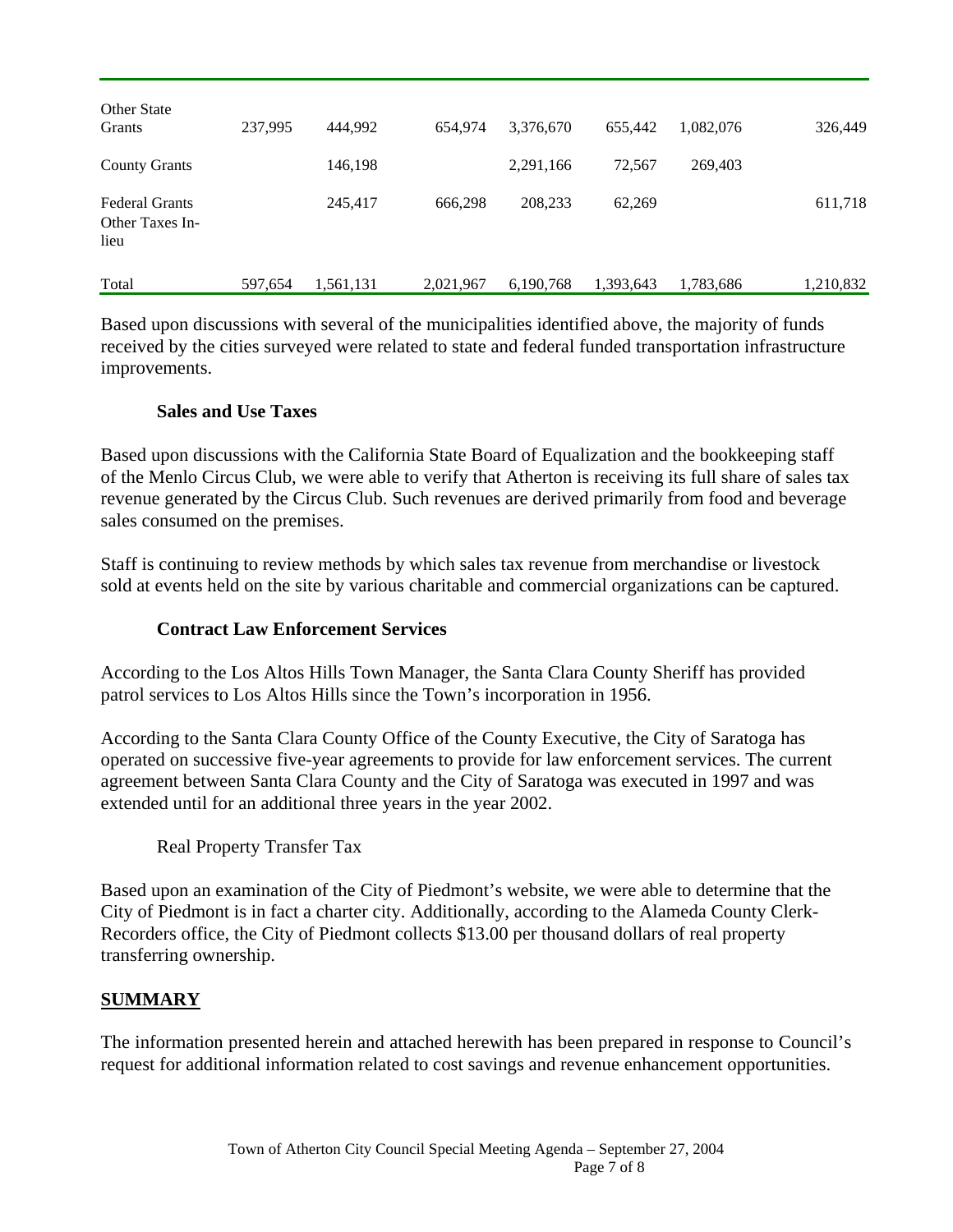| <b>Other State</b><br>Grants                     | 237.995 | 444.992   | 654,974   | 3,376,670 | 655.442   | 1,082,076 | 326,449   |
|--------------------------------------------------|---------|-----------|-----------|-----------|-----------|-----------|-----------|
| <b>County Grants</b>                             |         | 146,198   |           | 2,291,166 | 72,567    | 269,403   |           |
| <b>Federal Grants</b><br>Other Taxes In-<br>lieu |         | 245,417   | 666.298   | 208,233   | 62,269    |           | 611,718   |
| Total                                            | 597,654 | 1,561,131 | 2,021,967 | 6,190,768 | 1,393,643 | 1,783,686 | 1,210,832 |

Based upon discussions with several of the municipalities identified above, the majority of funds received by the cities surveyed were related to state and federal funded transportation infrastructure improvements.

#### **Sales and Use Taxes**

Based upon discussions with the California State Board of Equalization and the bookkeeping staff of the Menlo Circus Club, we were able to verify that Atherton is receiving its full share of sales tax revenue generated by the Circus Club. Such revenues are derived primarily from food and beverage sales consumed on the premises.

Staff is continuing to review methods by which sales tax revenue from merchandise or livestock sold at events held on the site by various charitable and commercial organizations can be captured.

### **Contract Law Enforcement Services**

According to the Los Altos Hills Town Manager, the Santa Clara County Sheriff has provided patrol services to Los Altos Hills since the Town's incorporation in 1956.

According to the Santa Clara County Office of the County Executive, the City of Saratoga has operated on successive five-year agreements to provide for law enforcement services. The current agreement between Santa Clara County and the City of Saratoga was executed in 1997 and was extended until for an additional three years in the year 2002.

Real Property Transfer Tax

Based upon an examination of the City of Piedmont's website, we were able to determine that the City of Piedmont is in fact a charter city. Additionally, according to the Alameda County Clerk-Recorders office, the City of Piedmont collects \$13.00 per thousand dollars of real property transferring ownership.

### **SUMMARY**

The information presented herein and attached herewith has been prepared in response to Council's request for additional information related to cost savings and revenue enhancement opportunities.